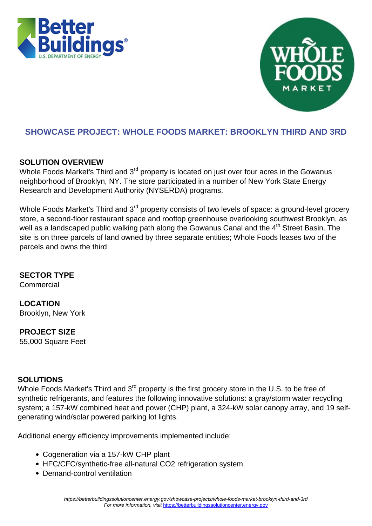



## **SHOWCASE PROJECT: WHOLE FOODS MARKET: BROOKLYN THIRD AND 3RD**

## **SOLUTION OVERVIEW**

Whole Foods Market's Third and 3<sup>rd</sup> property is located on just over four acres in the Gowanus neighborhood of Brooklyn, NY. The store participated in a number of New York State Energy Research and Development Authority (NYSERDA) programs.

Whole Foods Market's Third and 3<sup>rd</sup> property consists of two levels of space: a ground-level grocery store, a second-floor restaurant space and rooftop greenhouse overlooking southwest Brooklyn, as well as a landscaped public walking path along the Gowanus Canal and the 4<sup>th</sup> Street Basin. The site is on three parcels of land owned by three separate entities; Whole Foods leases two of the parcels and owns the third.

**SECTOR TYPE Commercial** 

**LOCATION** Brooklyn, New York

**PROJECT SIZE**

55,000 Square Feet

## **SOLUTIONS**

Whole Foods Market's Third and 3<sup>rd</sup> property is the first grocery store in the U.S. to be free of synthetic refrigerants, and features the following innovative solutions: a gray/storm water recycling system; a 157-kW combined heat and power (CHP) plant, a 324-kW solar canopy array, and 19 selfgenerating wind/solar powered parking lot lights.

Additional energy efficiency improvements implemented include:

- Cogeneration via a 157-kW CHP plant
- HFC/CFC/synthetic-free all-natural CO2 refrigeration system
- Demand-control ventilation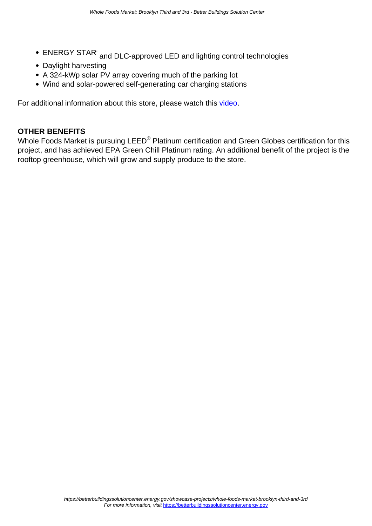- ENERGY STAR and DLC-approved LED and lighting control technologies
- Daylight harvesting
- A 324-kWp solar PV array covering much of the parking lot
- Wind and solar-powered self-generating car charging stations

For additional information about this store, please watch this [video.](http://www.youtube.com/watch?v=yaBhyjuZXyo)

## **OTHER BENEFITS**

Whole Foods Market is pursuing LEED $^{\circledast}$  Platinum certification and Green Globes certification for this project, and has achieved EPA Green Chill Platinum rating. An additional benefit of the project is the rooftop greenhouse, which will grow and supply produce to the store.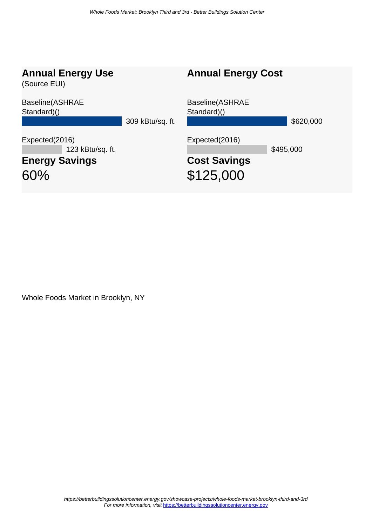

Whole Foods Market in Brooklyn, NY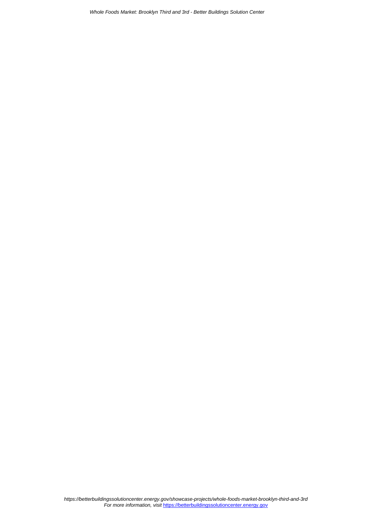Whole Foods Market: Brooklyn Third and 3rd - Better Buildings Solution Center